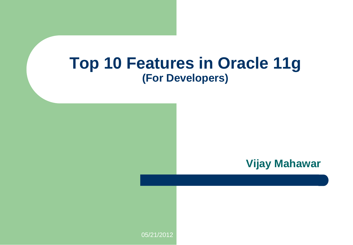#### **Top 10 Features in Oracle 11g (For Developers)**

**Vijay Mahawar**

05/21/2012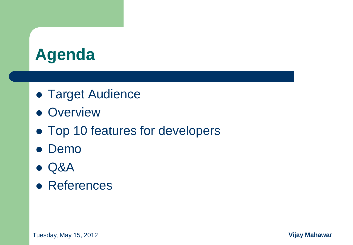## **Agenda**

- **Target Audience**
- Overview
- Top 10 features for developers
- Demo
- Q&A
- **References**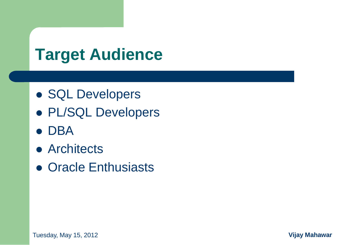# **Target Audience**

- SQL Developers
- PL/SQL Developers
- DBA
- Architects
- Oracle Enthusiasts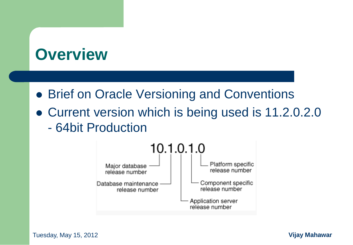#### **Overview**

- **Brief on Oracle Versioning and Conventions**
- Current version which is being used is 11.2.0.2.0 - 64bit Production



Tuesday, May 15, 2012 **4 Vijay Mahawar**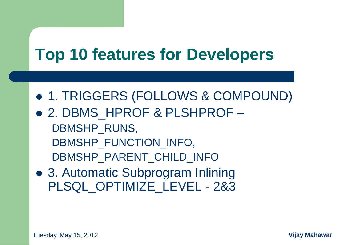# **Top 10 features for Developers**

- 1. TRIGGERS (FOLLOWS & COMPOUND)
- 2. DBMS HPROF & PLSHPROF DBMSHP\_RUNS, DBMSHP\_FUNCTION\_INFO, DBMSHP\_PARENT\_CHILD\_INFO
- 3. Automatic Subprogram Inlining PLSQL OPTIMIZE LEVEL - 2&3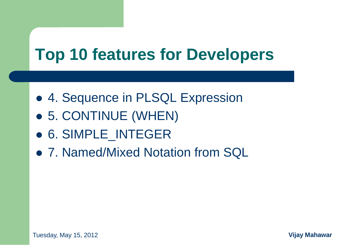# **Top 10 features for Developers**

- 4. Sequence in PLSQL Expression
- 5. CONTINUE (WHEN)
- 6. SIMPLE\_INTEGER
- 7. Named/Mixed Notation from SQL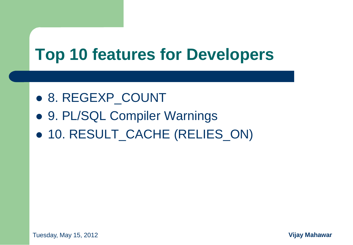# **Top 10 features for Developers**

- 8. REGEXP\_COUNT
- 9. PL/SQL Compiler Warnings
- 10. RESULT\_CACHE (RELIES\_ON)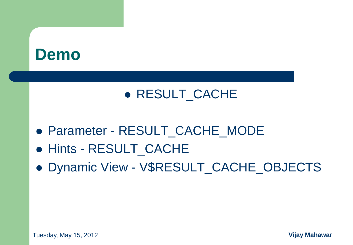#### **Demo**

#### • RESULT CACHE

- Parameter RESULT\_CACHE\_MODE
- Hints RESULT CACHE
- Dynamic View V\$RESULT CACHE\_OBJECTS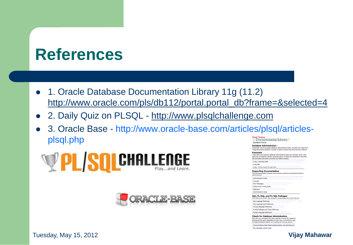## **References**

- 1. Oracle Database Documentation Library 11g (11.2) [http://www.oracle.com/pls/db112/portal.portal\\_db?frame=&selected=4](http://www.oracle.com/pls/db112/portal.portal_db?frame=&selected=4)
- 2. Daily Quiz on PLSQL [http://www.plsqlchallenge.com](http://www.plsqlchallenge.com/)
- 3. Oracle Base http://www.oracle-base.com/articles/plsql/articlesplsql.phpDocumentation Library 11g Release 2 (11.2)





**Database Administration** "Essentials" covers everyday database administration tasks, as performed using the E<br>"Supporting Documentation" includes in-depth concept, task and reference material. **Fesentials** 2 Day 884 covers general detabase administration tasks and concents. Each 2 Day the original concepts for specific osteroid togets. All tasks are presented in the Enter<br>that and concepts for specific advanced togics. All tasks are presented in the Enter<br>documentation describes command line-based metho 2 Day + Security Guide 2 Day DBA 2 Day + Performance Tuning Guide **Supporting Documentation** The documents below provide more extensive reference and advanced task m administration. Administrator's Guide Concepts **Error Messages** Performance Tuning Guide Reference Administrator's Guide SQL, PL/SQL, and PL/SQL Packages SQL statements and PL/SQL programs and packages are used extensive SQL Language Reference SQL Language Quick Reference PL/SQL Language Reference PL/SQL Padcages and Types Reference PL/SQL Language Reference **Clients for Database Administration** 

SQL\*Plus is a command-line client used for running SQL statement<br>provides all the same capabilities as SQL\*Plus, as well as an easy<br>managing database objects and creating and viewing reports. Communications Data Model Implementation and Operations G



Tuesday, May 15, 2012 **9 Vijay Mahawar**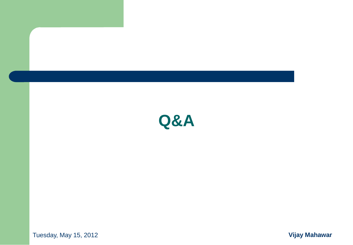

Tuesday, May 15, 2012 **10 Vijay Mahawar**